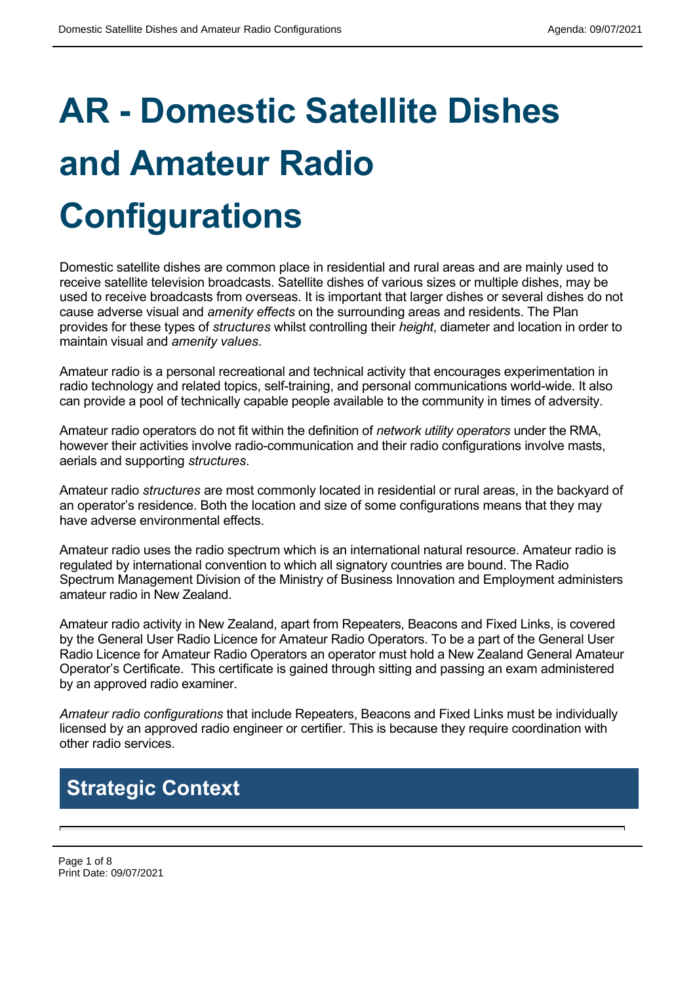# **AR - Domestic Satellite Dishes and Amateur Radio Configurations**

Domestic satellite dishes are common place in residential and rural areas and are mainly used to receive satellite television broadcasts. Satellite dishes of various sizes or multiple dishes, may be used to receive broadcasts from overseas. It is important that larger dishes or several dishes do not cause adverse visual and *amenity effects* on the surrounding areas and residents. The Plan provides for these types of *structures* whilst controlling their *height*, diameter and location in order to maintain visual and *amenity values*.

Amateur radio is a personal recreational and technical activity that encourages experimentation in radio technology and related topics, self-training, and personal communications world-wide. It also can provide a pool of technically capable people available to the community in times of adversity.

Amateur radio operators do not fit within the definition of *network utility operators* under the RMA, however their activities involve radio-communication and their radio configurations involve masts, aerials and supporting *structures*.

Amateur radio *structures* are most commonly located in residential or rural areas, in the backyard of an operator's residence. Both the location and size of some configurations means that they may have adverse environmental effects.

Amateur radio uses the radio spectrum which is an international natural resource. Amateur radio is regulated by international convention to which all signatory countries are bound. The Radio Spectrum Management Division of the Ministry of Business Innovation and Employment administers amateur radio in New Zealand.

Amateur radio activity in New Zealand, apart from Repeaters, Beacons and Fixed Links, is covered by the General User Radio Licence for Amateur Radio Operators. To be a part of the General User Radio Licence for Amateur Radio Operators an operator must hold a New Zealand General Amateur Operator's Certificate. This certificate is gained through sitting and passing an exam administered by an approved radio examiner.

*Amateur radio configurations* that include Repeaters, Beacons and Fixed Links must be individually licensed by an approved radio engineer or certifier. This is because they require coordination with other radio services.

# **Strategic Context**

Page 1 of 8 Print Date: 09/07/2021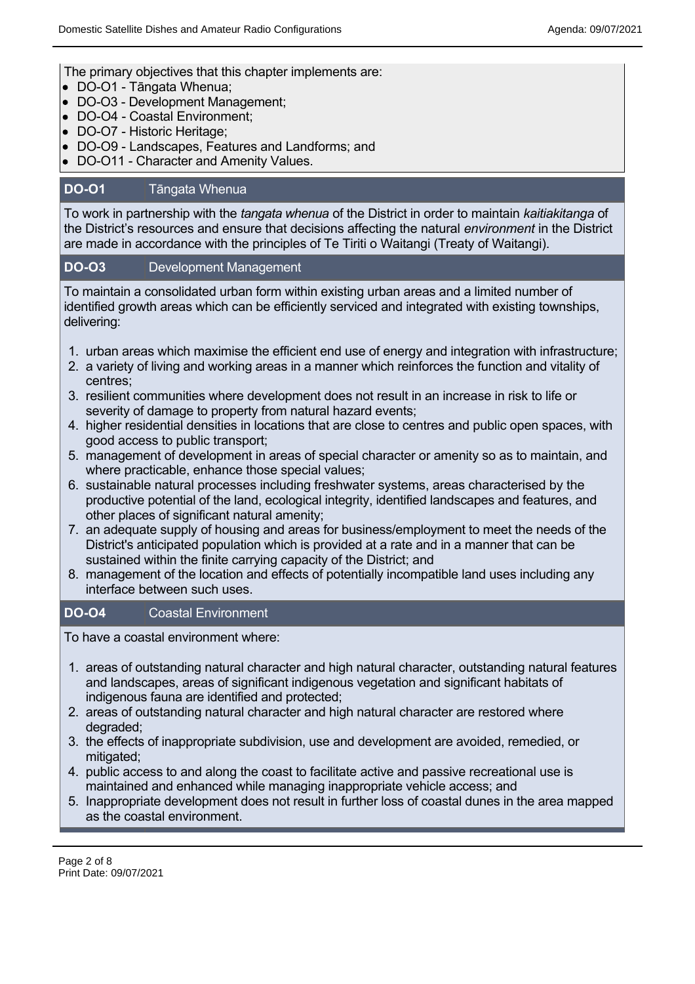The primary objectives that this chapter implements are:

- DO-O1 Tāngata Whenua;
- DO-O3 Development Management;
- DO-O4 Coastal Environment:
- DO-O7 Historic Heritage;
- DO-O9 Landscapes, Features and Landforms; and
- DO-O11 Character and Amenity Values.

### **DO-O1** Tāngata Whenua

To work in partnership with the *tangata whenua* of the District in order to maintain *kaitiakitanga* of the District's resources and ensure that decisions affecting the natural *environment* in the District are made in accordance with the principles of Te Tiriti o Waitangi (Treaty of Waitangi).

#### **DO-O3** Development Management

To maintain a consolidated urban form within existing urban areas and a limited number of identified growth areas which can be efficiently serviced and integrated with existing townships, delivering:

- 1. urban areas which maximise the efficient end use of energy and integration with infrastructure;
- 2. a variety of living and working areas in a manner which reinforces the function and vitality of centres;
- 3. resilient communities where development does not result in an increase in risk to life or severity of damage to property from natural hazard events;
- 4. higher residential densities in locations that are close to centres and public open spaces, with good access to public transport;
- 5. management of development in areas of special character or amenity so as to maintain, and where practicable, enhance those special values;
- 6. sustainable natural processes including freshwater systems, areas characterised by the productive potential of the land, ecological integrity, identified landscapes and features, and other places of significant natural amenity;
- 7. an adequate supply of housing and areas for business/employment to meet the needs of the District's anticipated population which is provided at a rate and in a manner that can be sustained within the finite carrying capacity of the District; and
- 8. management of the location and effects of potentially incompatible land uses including any interface between such uses.

#### **DO-O4** Coastal Environment

To have a coastal environment where:

- 1. areas of outstanding natural character and high natural character, outstanding natural features and landscapes, areas of significant indigenous vegetation and significant habitats of indigenous fauna are identified and protected;
- 2. areas of outstanding natural character and high natural character are restored where degraded;
- 3. the effects of inappropriate subdivision, use and development are avoided, remedied, or mitigated;
- 4. public access to and along the coast to facilitate active and passive recreational use is maintained and enhanced while managing inappropriate vehicle access; and
- 5. Inappropriate development does not result in further loss of coastal dunes in the area mapped as the coastal environment.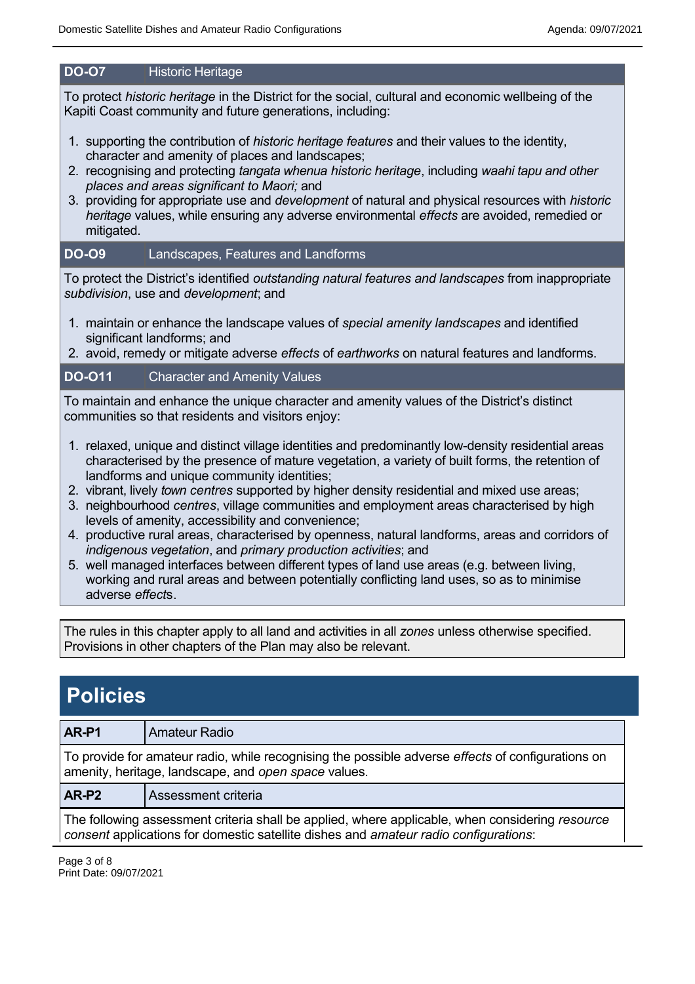# **DO-O7** Historic Heritage

To protect *historic heritage* in the District for the social, cultural and economic wellbeing of the Kapiti Coast community and future generations, including:

- 1. supporting the contribution of *historic heritage features* and their values to the identity, character and amenity of places and landscapes;
- 2. recognising and protecting *tangata whenua historic heritage*, including *waahi tapu and other places and areas significant to Maori;* and
- 3. providing for appropriate use and *development* of natural and physical resources with *historic heritage* values, while ensuring any adverse environmental *effects* are avoided, remedied or mitigated.

## **DO-O9** Landscapes, Features and Landforms

To protect the District's identified *outstanding natural features and landscapes* from inappropriate *subdivision*, use and *development*; and

- 1. maintain or enhance the landscape values of *special amenity landscapes* and identified significant landforms; and
- 2. avoid, remedy or mitigate adverse *effects* of *earthworks* on natural features and landforms.

## **DO-O11** Character and Amenity Values

To maintain and enhance the unique character and amenity values of the District's distinct communities so that residents and visitors enjoy:

- 1. relaxed, unique and distinct village identities and predominantly low-density residential areas characterised by the presence of mature vegetation, a variety of built forms, the retention of landforms and unique community identities;
- 2. vibrant, lively *town centres* supported by higher density residential and mixed use areas;
- 3. neighbourhood *centres*, village communities and employment areas characterised by high levels of amenity, accessibility and convenience;
- 4. productive rural areas, characterised by openness, natural landforms, areas and corridors of *indigenous vegetation*, and *primary production activities*; and
- 5. well managed interfaces between different types of land use areas (e.g. between living, working and rural areas and between potentially conflicting land uses, so as to minimise adverse *effect*s.

The rules in this chapter apply to all land and activities in all *zones* unless otherwise specified. Provisions in other chapters of the Plan may also be relevant.

# **Policies**

#### **AR-P1** Amateur Radio

To provide for amateur radio, while recognising the possible adverse *effects* of configurations on amenity, heritage, landscape, and *open space* values.

#### **AR-P2** Assessment criteria

The following assessment criteria shall be applied, where applicable, when considering *resource consent* applications for domestic satellite dishes and *amateur radio configurations*:

Page 3 of 8 Print Date: 09/07/2021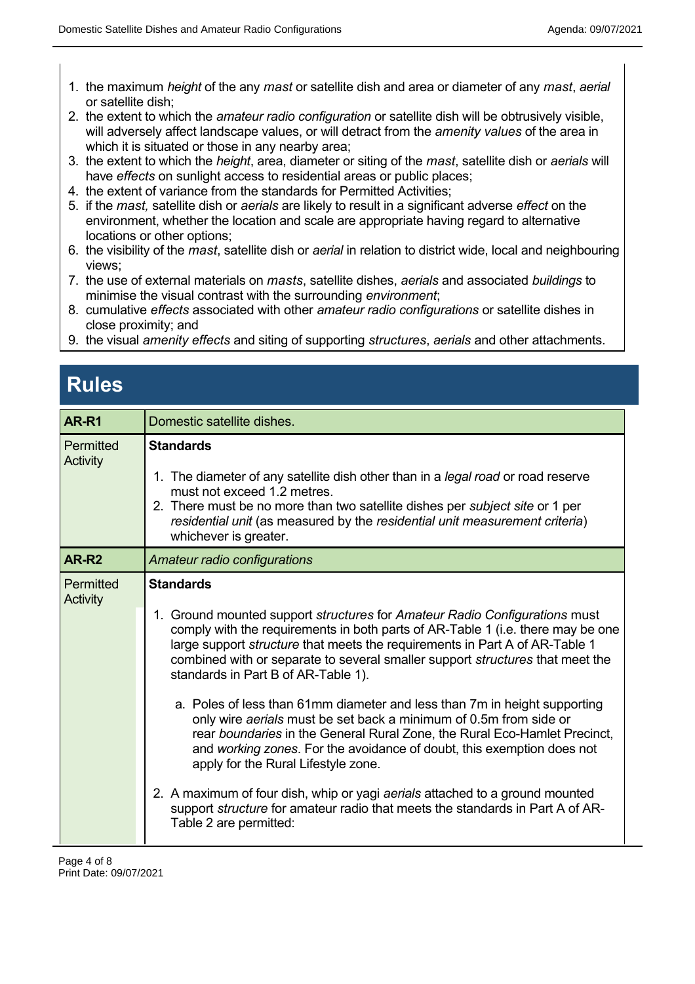- 1. the maximum *height* of the any *mast* or satellite dish and area or diameter of any *mast*, *aerial* or satellite dish;
- 2. the extent to which the *amateur radio configuration* or satellite dish will be obtrusively visible, will adversely affect landscape values, or will detract from the *amenity values* of the area in which it is situated or those in any nearby area;
- 3. the extent to which the *height*, area, diameter or siting of the *mast*, satellite dish or *aerials* will have *effects* on sunlight access to residential areas or public places:
- 4. the extent of variance from the standards for Permitted Activities;
- 5. if the *mast,* satellite dish or *aerials* are likely to result in a significant adverse *effect* on the environment, whether the location and scale are appropriate having regard to alternative locations or other options;
- 6. the visibility of the *mast*, satellite dish or *aerial* in relation to district wide, local and neighbouring views;
- 7. the use of external materials on *masts*, satellite dishes, *aerials* and associated *buildings* to minimise the visual contrast with the surrounding *environment*;
- 8. cumulative *effects* associated with other *amateur radio configurations* or satellite dishes in close proximity; and
- 9. the visual *amenity effects* and siting of supporting *structures*, *aerials* and other attachments.

# **Rules**

| AR-R1                 | Domestic satellite dishes.                                                                                                                                                                                                                                                                                                                                                                                                                                                                                                                                                                                                                                                                                                                                                                                                                                                                                                                               |  |  |
|-----------------------|----------------------------------------------------------------------------------------------------------------------------------------------------------------------------------------------------------------------------------------------------------------------------------------------------------------------------------------------------------------------------------------------------------------------------------------------------------------------------------------------------------------------------------------------------------------------------------------------------------------------------------------------------------------------------------------------------------------------------------------------------------------------------------------------------------------------------------------------------------------------------------------------------------------------------------------------------------|--|--|
| Permitted<br>Activity | <b>Standards</b><br>1. The diameter of any satellite dish other than in a legal road or road reserve<br>must not exceed 1.2 metres.<br>2. There must be no more than two satellite dishes per <i>subject site</i> or 1 per<br>residential unit (as measured by the residential unit measurement criteria)<br>whichever is greater.                                                                                                                                                                                                                                                                                                                                                                                                                                                                                                                                                                                                                       |  |  |
| AR-R <sub>2</sub>     | Amateur radio configurations                                                                                                                                                                                                                                                                                                                                                                                                                                                                                                                                                                                                                                                                                                                                                                                                                                                                                                                             |  |  |
| Permitted<br>Activity | <b>Standards</b><br>1. Ground mounted support <i>structures</i> for Amateur Radio Configurations must<br>comply with the requirements in both parts of AR-Table 1 (i.e. there may be one<br>large support <i>structure</i> that meets the requirements in Part A of AR-Table 1<br>combined with or separate to several smaller support <i>structures</i> that meet the<br>standards in Part B of AR-Table 1).<br>a. Poles of less than 61mm diameter and less than 7m in height supporting<br>only wire aerials must be set back a minimum of 0.5m from side or<br>rear boundaries in the General Rural Zone, the Rural Eco-Hamlet Precinct,<br>and working zones. For the avoidance of doubt, this exemption does not<br>apply for the Rural Lifestyle zone.<br>2. A maximum of four dish, whip or yagi aerials attached to a ground mounted<br>support structure for amateur radio that meets the standards in Part A of AR-<br>Table 2 are permitted: |  |  |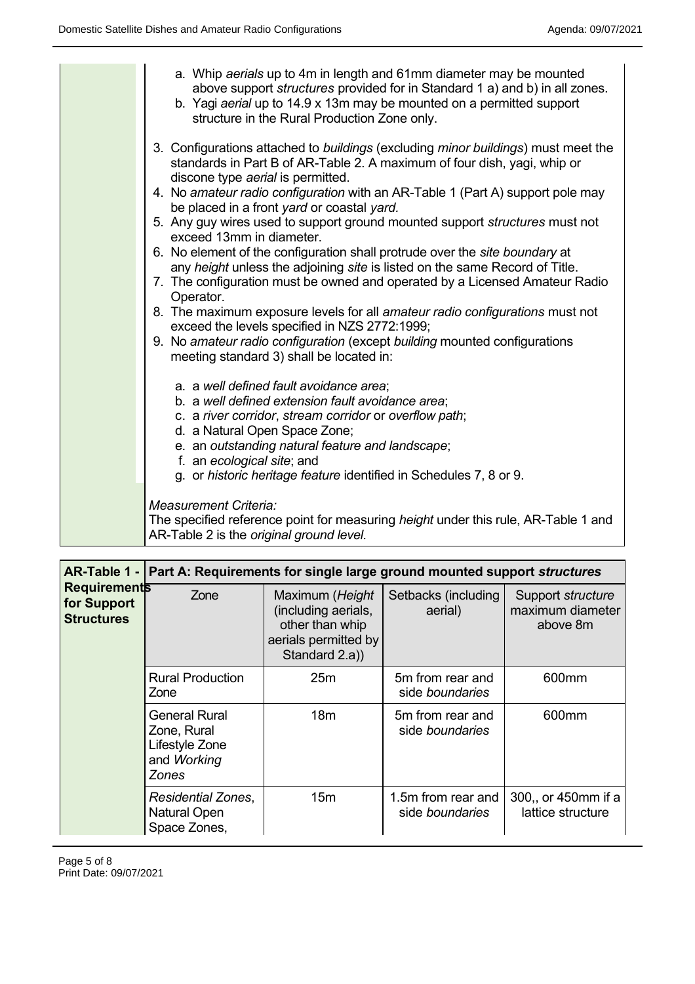| a. Whip aerials up to 4m in length and 61mm diameter may be mounted<br>above support <i>structures</i> provided for in Standard 1 a) and b) in all zones.<br>b. Yagi aerial up to 14.9 x 13m may be mounted on a permitted support<br>structure in the Rural Production Zone only.                                                                                                                                                                                                                                                                                                                                                                                                                                                                                                                                                                                                                                                                                |
|-------------------------------------------------------------------------------------------------------------------------------------------------------------------------------------------------------------------------------------------------------------------------------------------------------------------------------------------------------------------------------------------------------------------------------------------------------------------------------------------------------------------------------------------------------------------------------------------------------------------------------------------------------------------------------------------------------------------------------------------------------------------------------------------------------------------------------------------------------------------------------------------------------------------------------------------------------------------|
| 3. Configurations attached to buildings (excluding minor buildings) must meet the<br>standards in Part B of AR-Table 2. A maximum of four dish, yagi, whip or<br>discone type aerial is permitted.<br>4. No amateur radio configuration with an AR-Table 1 (Part A) support pole may<br>be placed in a front yard or coastal yard.<br>5. Any guy wires used to support ground mounted support structures must not<br>exceed 13mm in diameter.<br>6. No element of the configuration shall protrude over the site boundary at<br>any height unless the adjoining site is listed on the same Record of Title.<br>7. The configuration must be owned and operated by a Licensed Amateur Radio<br>Operator.<br>8. The maximum exposure levels for all amateur radio configurations must not<br>exceed the levels specified in NZS 2772:1999;<br>9. No amateur radio configuration (except building mounted configurations<br>meeting standard 3) shall be located in: |
| a. a well defined fault avoidance area;<br>b. a well defined extension fault avoidance area;<br>c. a river corridor, stream corridor or overflow path;<br>d. a Natural Open Space Zone;<br>e. an outstanding natural feature and landscape;<br>f. an ecological site; and<br>g. or historic heritage feature identified in Schedules 7, 8 or 9.<br><b>Measurement Criteria:</b><br>The specified reference point for measuring height under this rule, AR-Table 1 and<br>AR-Table 2 is the original ground level.                                                                                                                                                                                                                                                                                                                                                                                                                                                 |

| <b>Requirements</b><br>for Support<br><b>Structures</b> | AR-Table 1 - Part A: Requirements for single large ground mounted support structures |                                                                                                     |                                              |                                                   |
|---------------------------------------------------------|--------------------------------------------------------------------------------------|-----------------------------------------------------------------------------------------------------|----------------------------------------------|---------------------------------------------------|
|                                                         | Zone                                                                                 | Maximum (Height<br>(including aerials,<br>other than whip<br>aerials permitted by<br>Standard 2.a)) | Setbacks (including<br>aerial)               | Support structure<br>maximum diameter<br>above 8m |
|                                                         | <b>Rural Production</b><br>Zone                                                      | 25m                                                                                                 | 5m from rear and<br>side <i>boundaries</i>   | 600 <sub>mm</sub>                                 |
|                                                         | <b>General Rural</b><br>Zone, Rural<br>Lifestyle Zone<br>and Working<br>Zones        | 18 <sub>m</sub>                                                                                     | 5m from rear and<br>side <i>boundaries</i>   | 600 <sub>mm</sub>                                 |
|                                                         | Residential Zones,<br><b>Natural Open</b><br>Space Zones,                            | 15 <sub>m</sub>                                                                                     | 1.5m from rear and<br>side <i>boundaries</i> | 300, or 450mm if a<br>lattice structure           |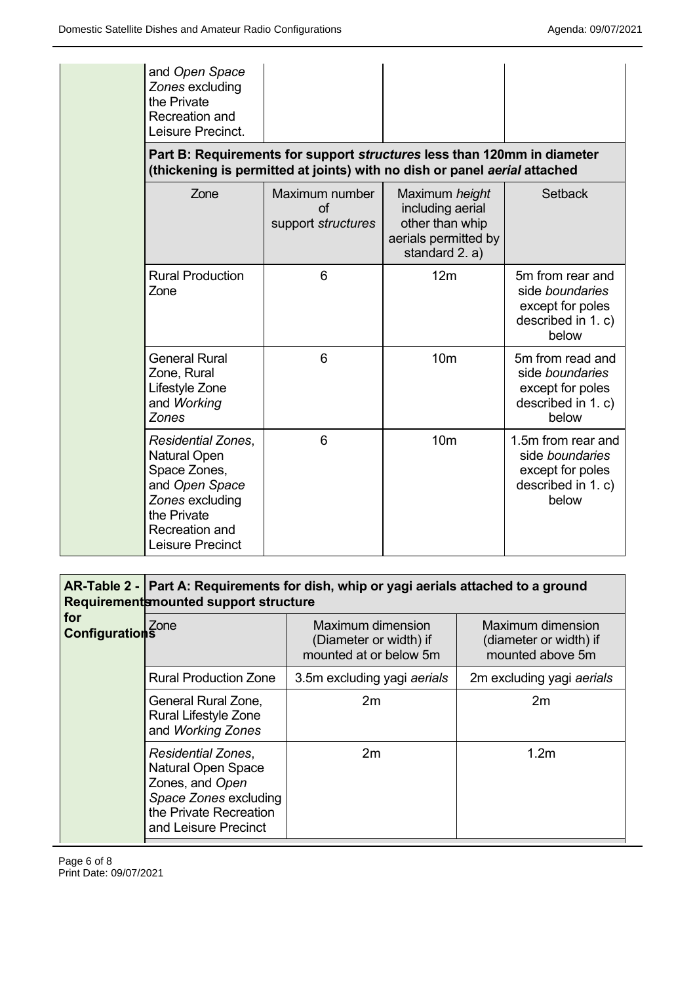| and Open Space<br>Zones excluding<br>the Private<br>Recreation and<br>Leisure Precinct.                                                             |                                                    | Part B: Requirements for support <i>structures</i> less than 120mm in diameter                  |                                                                                          |  |
|-----------------------------------------------------------------------------------------------------------------------------------------------------|----------------------------------------------------|-------------------------------------------------------------------------------------------------|------------------------------------------------------------------------------------------|--|
| (thickening is permitted at joints) with no dish or panel aerial attached                                                                           |                                                    |                                                                                                 |                                                                                          |  |
| Zone                                                                                                                                                | Maximum number<br>$\sigma$ f<br>support structures | Maximum height<br>including aerial<br>other than whip<br>aerials permitted by<br>standard 2. a) | Setback                                                                                  |  |
| <b>Rural Production</b><br>Zone                                                                                                                     | 6                                                  | 12 <sub>m</sub>                                                                                 | 5m from rear and<br>side boundaries<br>except for poles<br>described in 1. c)<br>below   |  |
| <b>General Rural</b><br>Zone, Rural<br>Lifestyle Zone<br>and Working<br><b>Zones</b>                                                                | 6                                                  | 10 <sub>m</sub>                                                                                 | 5m from read and<br>side boundaries<br>except for poles<br>described in 1. c)<br>below   |  |
| <b>Residential Zones,</b><br>Natural Open<br>Space Zones,<br>and Open Space<br>Zones excluding<br>the Private<br>Recreation and<br>Leisure Precinct | 6                                                  | 10 <sub>m</sub>                                                                                 | 1.5m from rear and<br>side boundaries<br>except for poles<br>described in 1. c)<br>below |  |

# **AR-Table 2 - Part A: Requirements for dish, whip or yagi aerials attached to a ground Requirements mounted support structure**

| for<br><b>Configurations</b> |                                                                                                                                                      |                                                                       |                                                                        |  |
|------------------------------|------------------------------------------------------------------------------------------------------------------------------------------------------|-----------------------------------------------------------------------|------------------------------------------------------------------------|--|
|                              | Zone                                                                                                                                                 | Maximum dimension<br>(Diameter or width) if<br>mounted at or below 5m | <b>Maximum dimension</b><br>(diameter or width) if<br>mounted above 5m |  |
|                              | <b>Rural Production Zone</b>                                                                                                                         | 3.5m excluding yagi aerials                                           | 2m excluding yagi aerials                                              |  |
|                              | General Rural Zone,<br>Rural Lifestyle Zone<br>and Working Zones                                                                                     | 2m                                                                    | 2m                                                                     |  |
|                              | <b>Residential Zones,</b><br><b>Natural Open Space</b><br>Zones, and Open<br>Space Zones excluding<br>the Private Recreation<br>and Leisure Precinct | 2m                                                                    | 1.2 <sub>m</sub>                                                       |  |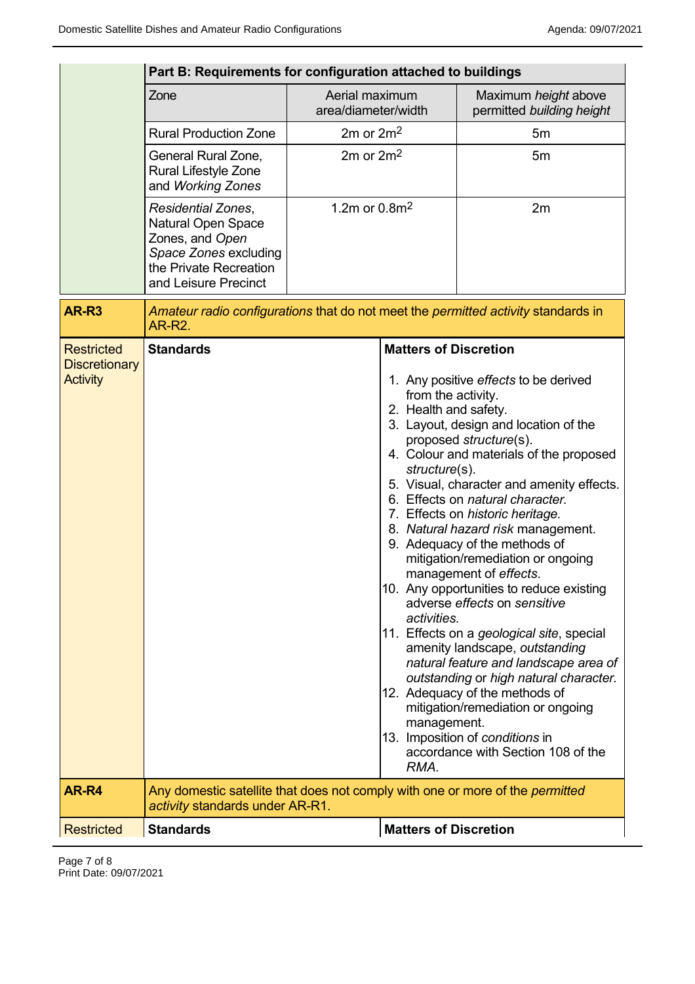|                                           | Part B: Requirements for configuration attached to buildings                                                                                  |                                       |                                                                                                    |                                                                                                                                                                                                                                                                                                                                                                                                                                                                                                                                                                                                                                                                                                                                                                                                              |
|-------------------------------------------|-----------------------------------------------------------------------------------------------------------------------------------------------|---------------------------------------|----------------------------------------------------------------------------------------------------|--------------------------------------------------------------------------------------------------------------------------------------------------------------------------------------------------------------------------------------------------------------------------------------------------------------------------------------------------------------------------------------------------------------------------------------------------------------------------------------------------------------------------------------------------------------------------------------------------------------------------------------------------------------------------------------------------------------------------------------------------------------------------------------------------------------|
|                                           | Zone                                                                                                                                          | Aerial maximum<br>area/diameter/width |                                                                                                    | Maximum height above<br>permitted building height                                                                                                                                                                                                                                                                                                                                                                                                                                                                                                                                                                                                                                                                                                                                                            |
|                                           | <b>Rural Production Zone</b>                                                                                                                  | $2m$ or $2m2$                         |                                                                                                    | 5m                                                                                                                                                                                                                                                                                                                                                                                                                                                                                                                                                                                                                                                                                                                                                                                                           |
|                                           | General Rural Zone,<br>Rural Lifestyle Zone<br>and Working Zones                                                                              | $2m$ or $2m2$                         |                                                                                                    | 5m                                                                                                                                                                                                                                                                                                                                                                                                                                                                                                                                                                                                                                                                                                                                                                                                           |
|                                           | Residential Zones,<br><b>Natural Open Space</b><br>Zones, and Open<br>Space Zones excluding<br>the Private Recreation<br>and Leisure Precinct | 1.2m or $0.8m^2$                      |                                                                                                    | 2m                                                                                                                                                                                                                                                                                                                                                                                                                                                                                                                                                                                                                                                                                                                                                                                                           |
| <b>AR-R3</b>                              | <b>AR-R2.</b>                                                                                                                                 |                                       |                                                                                                    | Amateur radio configurations that do not meet the permitted activity standards in                                                                                                                                                                                                                                                                                                                                                                                                                                                                                                                                                                                                                                                                                                                            |
| <b>Restricted</b><br><b>Discretionary</b> | <b>Standards</b>                                                                                                                              |                                       | <b>Matters of Discretion</b>                                                                       |                                                                                                                                                                                                                                                                                                                                                                                                                                                                                                                                                                                                                                                                                                                                                                                                              |
| <b>Activity</b>                           |                                                                                                                                               |                                       | from the activity.<br>2. Health and safety.<br>structure(s).<br>activities.<br>management.<br>RMA. | 1. Any positive effects to be derived<br>3. Layout, design and location of the<br>proposed structure(s).<br>4. Colour and materials of the proposed<br>5. Visual, character and amenity effects.<br>6. Effects on natural character.<br>7. Effects on historic heritage.<br>8. Natural hazard risk management.<br>9. Adequacy of the methods of<br>mitigation/remediation or ongoing<br>management of effects.<br>10. Any opportunities to reduce existing<br>adverse effects on sensitive<br>11. Effects on a geological site, special<br>amenity landscape, outstanding<br>natural feature and landscape area of<br>outstanding or high natural character.<br>12. Adequacy of the methods of<br>mitigation/remediation or ongoing<br>13. Imposition of conditions in<br>accordance with Section 108 of the |
| AR-R4                                     | Any domestic satellite that does not comply with one or more of the <i>permitted</i><br>activity standards under AR-R1.                       |                                       |                                                                                                    |                                                                                                                                                                                                                                                                                                                                                                                                                                                                                                                                                                                                                                                                                                                                                                                                              |
| <b>Restricted</b>                         | <b>Standards</b>                                                                                                                              |                                       | <b>Matters of Discretion</b>                                                                       |                                                                                                                                                                                                                                                                                                                                                                                                                                                                                                                                                                                                                                                                                                                                                                                                              |